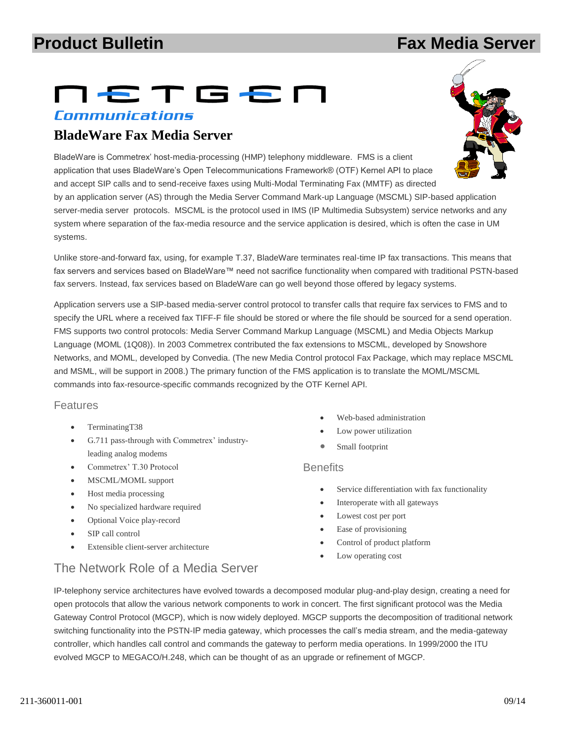# **Product Bulletin Fax Media Server**

# NETGEN

#### Communications

# **BladeWare Fax Media Server**

BladeWare is Commetrex' host-media-processing (HMP) telephony middleware. FMS is a client application that uses BladeWare's Open Telecommunications Framework® (OTF) Kernel API to place and accept SIP calls and to send-receive faxes using Multi-Modal Terminating Fax (MMTF) as directed

by an application server (AS) through the Media Server Command Mark-up Language (MSCML) SIP-based application server-media server protocols. MSCML is the protocol used in IMS (IP Multimedia Subsystem) service networks and any system where separation of the fax-media resource and the service application is desired, which is often the case in UM systems.

Unlike store-and-forward fax, using, for example T.37, BladeWare terminates real-time IP fax transactions. This means that fax servers and services based on BladeWare™ need not sacrifice functionality when compared with traditional PSTN-based fax servers. Instead, fax services based on BladeWare can go well beyond those offered by legacy systems.

Application servers use a SIP-based media-server control protocol to transfer calls that require fax services to FMS and to specify the URL where a received fax TIFF-F file should be stored or where the file should be sourced for a send operation. FMS supports two control protocols: Media Server Command Markup Language (MSCML) and Media Objects Markup Language (MOML (1Q08)). In 2003 Commetrex contributed the fax extensions to MSCML, developed by Snowshore Networks, and MOML, developed by Convedia. (The new Media Control protocol Fax Package, which may replace MSCML and MSML, will be support in 2008.) The primary function of the FMS application is to translate the MOML/MSCML commands into fax-resource-specific commands recognized by the OTF Kernel API.

#### Features

- TerminatingT38
- G.711 pass-through with Commetrex' industryleading analog modems
- Commetrex' T.30 Protocol
- MSCML/MOML support
- Host media processing
- No specialized hardware required
- Optional Voice play-record
- SIP call control
- Extensible client-server architecture
- Web-based administration
- Low power utilization
- Small footprint

#### **Benefits**

- Service differentiation with fax functionality
- Interoperate with all gateways
- Lowest cost per port
- Ease of provisioning
- Control of product platform
- Low operating cost

# The Network Role of a Media Server

IP-telephony service architectures have evolved towards a decomposed modular plug-and-play design, creating a need for open protocols that allow the various network components to work in concert. The first significant protocol was the Media Gateway Control Protocol (MGCP), which is now widely deployed. MGCP supports the decomposition of traditional network switching functionality into the PSTN-IP media gateway, which processes the call's media stream, and the media-gateway controller, which handles call control and commands the gateway to perform media operations. In 1999/2000 the ITU evolved MGCP to MEGACO/H.248, which can be thought of as an upgrade or refinement of MGCP.

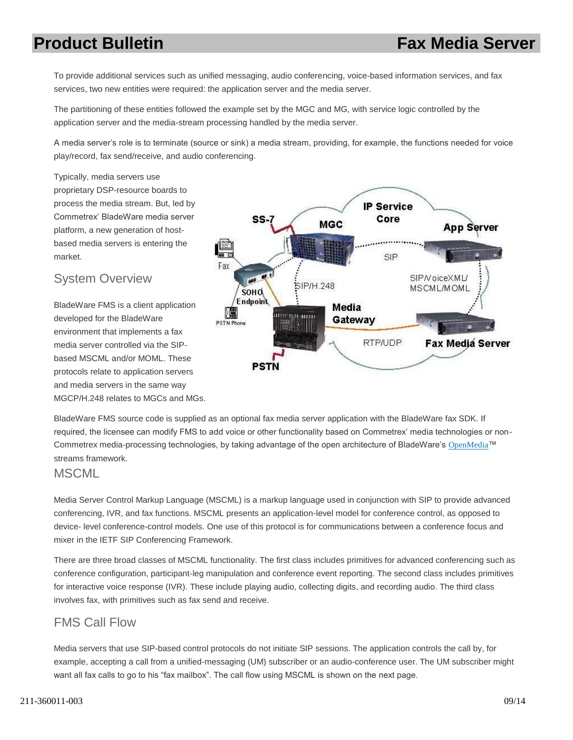# **Product Bulletin Fax Media Server**

To provide additional services such as unified messaging, audio conferencing, voice-based information services, and fax services, two new entities were required: the application server and the media server.

The partitioning of these entities followed the example set by the MGC and MG, with service logic controlled by the application server and the media-stream processing handled by the media server.

A media server's role is to terminate (source or sink) a media stream, providing, for example, the functions needed for voice play/record, fax send/receive, and audio conferencing.

Typically, media servers use proprietary DSP-resource boards to process the media stream. But, led by Commetrex' BladeWare media server platform, a new generation of hostbased media servers is entering the market.

#### System Overview

BladeWare FMS is a client application developed for the BladeWare environment that implements a fax media server controlled via the SIPbased MSCML and/or MOML. These protocols relate to application servers and media servers in the same way MGCP/H.248 relates to MGCs and MGs.



BladeWare FMS source code is supplied as an optional fax media server application with the BladeWare fax SDK. If required, the licensee can modify FMS to add voice or other functionality based on Commetrex' media technologies or non-Commetrex media-processing technologies, by taking advantage of the open architecture of BladeWare's [OpenMedia](http://www.commetrex.com/products/openmedia-software-developers-kit/)™ streams framework.

#### **MSCML**

Media Server Control Markup Language (MSCML) is a markup language used in conjunction with SIP to provide advanced conferencing, IVR, and fax functions. MSCML presents an application-level model for conference control, as opposed to device- level conference-control models. One use of this protocol is for communications between a conference focus and mixer in the IETF SIP Conferencing Framework.

There are three broad classes of MSCML functionality. The first class includes primitives for advanced conferencing such as conference configuration, participant-leg manipulation and conference event reporting. The second class includes primitives for interactive voice response (IVR). These include playing audio, collecting digits, and recording audio. The third class involves fax, with primitives such as fax send and receive.

### FMS Call Flow

Media servers that use SIP-based control protocols do not initiate SIP sessions. The application controls the call by, for example, accepting a call from a unified-messaging (UM) subscriber or an audio-conference user. The UM subscriber might want all fax calls to go to his "fax mailbox". The call flow using MSCML is shown on the next page.